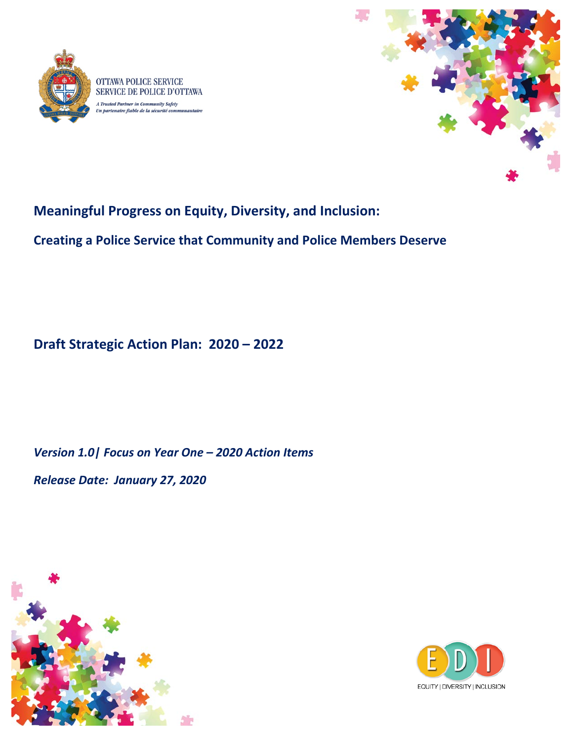



# **Meaningful Progress on Equity, Diversity, and Inclusion:**

**Creating a Police Service that Community and Police Members Deserve**

**Draft Strategic Action Plan: 2020 – 2022** 

*Version 1.0| Focus on Year One – 2020 Action Items*

*Release Date: January 27, 2020*



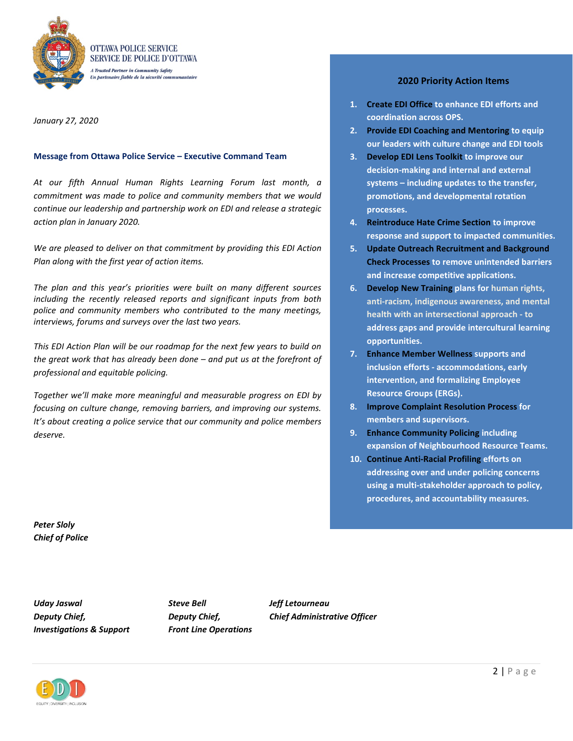

*January 27, 2020* 

#### **Message from Ottawa Police Service – Executive Command Team**

*At our fifth Annual Human Rights Learning Forum last month, a commitment was made to police and community members that we would continue our leadership and partnership work on EDI and release a strategic action plan in January 2020.* 

*We are pleased to deliver on that commitment by providing this EDI Action Plan along with the first year of action items.* 

*The plan and this year's priorities were built on many different sources including the recently released reports and significant inputs from both police and community members who contributed to the many meetings, interviews, forums and surveys over the last two years.* 

*This EDI Action Plan will be our roadmap for the next few years to build on the great work that has already been done – and put us at the forefront of professional and equitable policing.* 

*Together we'll make more meaningful and measurable progress on EDI by focusing on culture change, removing barriers, and improving our systems. It's about creating a police service that our community and police members deserve.*

#### **2020 Priority Action Items**

- **1. Create EDI Office to enhance EDI efforts and coordination across OPS.**
- **2. Provide EDI Coaching and Mentoring to equip our leaders with culture change and EDI tools**
- **3. Develop EDI Lens Toolkit to improve our decision-making and internal and external systems – including updates to the transfer, promotions, and developmental rotation processes.**
- **4. Reintroduce Hate Crime Section to improve response and support to impacted communities.**
- **5. Update Outreach Recruitment and Background Check Processes to remove unintended barriers and increase competitive applications.**
- **6. Develop New Training plans for human rights, anti-racism, indigenous awareness, and mental health with an intersectional approach - to address gaps and provide intercultural learning opportunities.**
- **7. Enhance Member Wellness supports and inclusion efforts - accommodations, early intervention, and formalizing Employee Resource Groups (ERGs).**
- **8. Improve Complaint Resolution Process for members and supervisors.**
- **9. Enhance Community Policing including expansion of Neighbourhood Resource Teams.**
- **10. Continue Anti-Racial Profiling efforts on addressing over and under policing concerns using a multi-stakeholder approach to policy, procedures, and accountability measures.**

*Peter Sloly Chief of Police* 

*Uday Jaswal Steve Bell Jeff Letourneau Investigations & Support Front Line Operations* 

*Deputy Chief, Deputy Chief, Chief Administrative Officer*

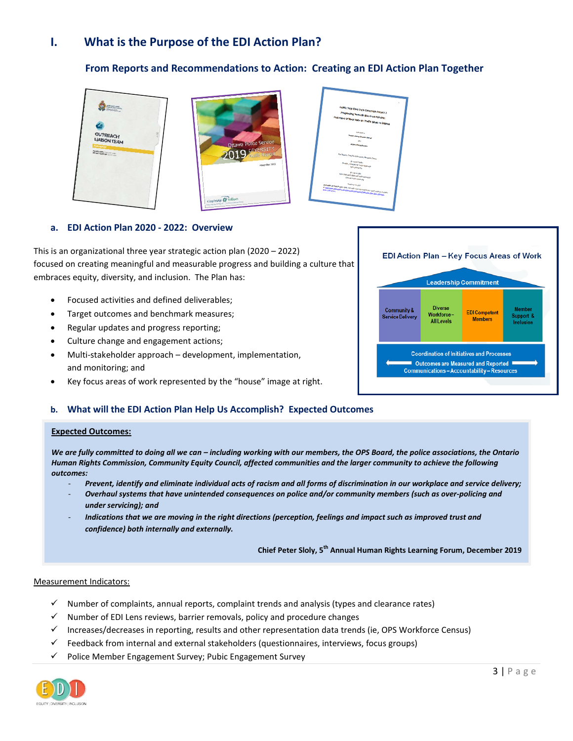### **I. What is the Purpose of the EDI Action Plan?**

### **From Reports and Recommendations to Action: Creating an EDI Action Plan Together**





| <b>Traffic Stop Race Data Collection Project II</b><br>Progressing Towards Blas-Free Policing:<br>Five Years of Race Data on Traffic Stops in Ottawa                                                            | × |
|-----------------------------------------------------------------------------------------------------------------------------------------------------------------------------------------------------------------|---|
| <b><i><u>Edmitted to</u></i></b>                                                                                                                                                                                |   |
| <b>Chinese Police Services Board</b>                                                                                                                                                                            |   |
| <b>And</b>                                                                                                                                                                                                      |   |
| Ottawa Police Service                                                                                                                                                                                           |   |
| The Ortlanks Tach/Vork Linksensky Renderch Teams                                                                                                                                                                |   |
|                                                                                                                                                                                                                 |   |
| Dr. Lorrie Foster<br>Director, Institute for Social Research                                                                                                                                                    |   |
| York Linkenston                                                                                                                                                                                                 |   |
| Dr. Les Jacobs                                                                                                                                                                                                  |   |
| Vice-President, Research and Innovation<br><b>Cintario Tech University</b>                                                                                                                                      |   |
|                                                                                                                                                                                                                 |   |
| November 13, 2019                                                                                                                                                                                               |   |
| Anatolicity of TMD(P1 and FBmla The Crafts may date used for this report is publish, includes<br>or begin all books and located the control between the control of the control of the claims is a factor of the |   |
|                                                                                                                                                                                                                 |   |
|                                                                                                                                                                                                                 |   |
|                                                                                                                                                                                                                 |   |
|                                                                                                                                                                                                                 |   |

l

#### **a. EDI Action Plan 2020 - 2022: Overview**

This is an organizational three year strategic action plan (2020 – 2022) focused on creating meaningful and measurable progress and building a culture that embraces equity, diversity, and inclusion. The Plan has:

- Focused activities and defined deliverables;
- Target outcomes and benchmark measures;
- Regular updates and progress reporting;
- Culture change and engagement actions;
- Multi-stakeholder approach development, implementation, and monitoring; and
- Key focus areas of work represented by the "house" image at right.

#### **b. What will the EDI Action Plan Help Us Accomplish? Expected Outcomes**

#### **Expected Outcomes:**

*We are fully committed to doing all we can – including working with our members, the OPS Board, the police associations, the Ontario Human Rights Commission, Community Equity Council, affected communities and the larger community to achieve the following outcomes:* 

- *Prevent, identify and eliminate individual acts of racism and all forms of discrimination in our workplace and service delivery;*
- *Overhaul systems that have unintended consequences on police and/or community members (such as over-policing and under servicing); and*
- Indications that we are moving in the right directions (perception, feelings and impact such as improved trust and *confidence) both internally and externally.*

**Chief Peter Sloly, 5th Annual Human Rights Learning Forum, December 2019**

#### Measurement Indicators:

- $\checkmark$  Number of complaints, annual reports, complaint trends and analysis (types and clearance rates)
- $\checkmark$  Number of EDI Lens reviews, barrier removals, policy and procedure changes
- $\checkmark$  Increases/decreases in reporting, results and other representation data trends (ie, OPS Workforce Census)
- $\checkmark$  Feedback from internal and external stakeholders (questionnaires, interviews, focus groups)
- Police Member Engagement Survey; Pubic Engagement Survey



| EDI Action Plan - Key Focus Areas of Work<br><b>Leadership Commitment</b>                                                                       |                                                   |                                        |                                         |  |  |
|-------------------------------------------------------------------------------------------------------------------------------------------------|---------------------------------------------------|----------------------------------------|-----------------------------------------|--|--|
| Community &<br><b>Service Delivery</b>                                                                                                          | <b>Diverse</b><br>Workforce-<br><b>All Levels</b> | <b>EDI</b> Competent<br><b>Members</b> | <b>Member</b><br>Support &<br>Inclusion |  |  |
| <b>Coordination of Initiatives and Processes</b><br><b>Outcomes are Measured and Reported</b><br><b>Communications-Accountability-Resources</b> |                                                   |                                        |                                         |  |  |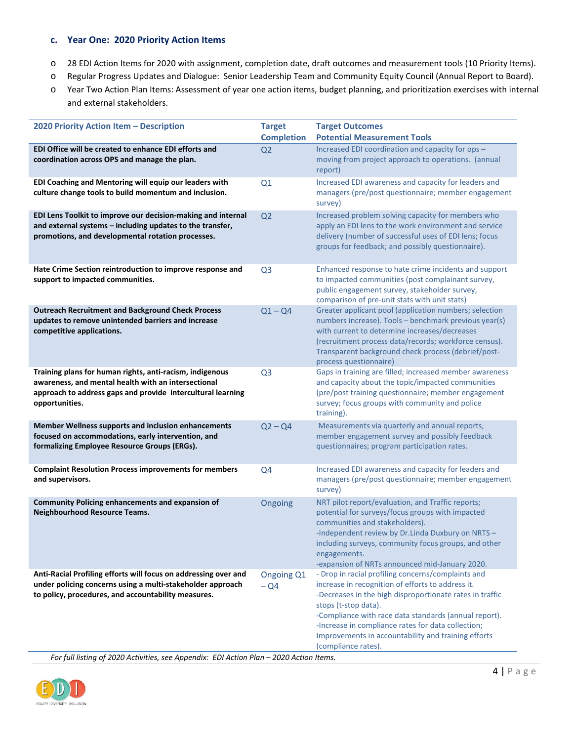#### **c. Year One: 2020 Priority Action Items**

- o 28 EDI Action Items for 2020 with assignment, completion date, draft outcomes and measurement tools (10 Priority Items).
- o Regular Progress Updates and Dialogue: Senior Leadership Team and Community Equity Council (Annual Report to Board).
- o Year Two Action Plan Items: Assessment of year one action items, budget planning, and prioritization exercises with internal and external stakeholders.

| 2020 Priority Action Item - Description                                                                                                                                                          | <b>Target</b><br><b>Completion</b> | <b>Target Outcomes</b><br><b>Potential Measurement Tools</b>                                                                                                                                                                                                                                                                                                                             |
|--------------------------------------------------------------------------------------------------------------------------------------------------------------------------------------------------|------------------------------------|------------------------------------------------------------------------------------------------------------------------------------------------------------------------------------------------------------------------------------------------------------------------------------------------------------------------------------------------------------------------------------------|
| EDI Office will be created to enhance EDI efforts and<br>coordination across OPS and manage the plan.                                                                                            | Q <sub>2</sub>                     | Increased EDI coordination and capacity for ops -<br>moving from project approach to operations. (annual<br>report)                                                                                                                                                                                                                                                                      |
| EDI Coaching and Mentoring will equip our leaders with<br>culture change tools to build momentum and inclusion.                                                                                  | Q1                                 | Increased EDI awareness and capacity for leaders and<br>managers (pre/post questionnaire; member engagement<br>survey)                                                                                                                                                                                                                                                                   |
| EDI Lens Toolkit to improve our decision-making and internal<br>and external systems - including updates to the transfer,<br>promotions, and developmental rotation processes.                   | Q <sub>2</sub>                     | Increased problem solving capacity for members who<br>apply an EDI lens to the work environment and service<br>delivery (number of successful uses of EDI lens; focus<br>groups for feedback; and possibly questionnaire).                                                                                                                                                               |
| Hate Crime Section reintroduction to improve response and<br>support to impacted communities.                                                                                                    | Q <sub>3</sub>                     | Enhanced response to hate crime incidents and support<br>to impacted communities (post complainant survey,<br>public engagement survey, stakeholder survey,<br>comparison of pre-unit stats with unit stats)                                                                                                                                                                             |
| <b>Outreach Recruitment and Background Check Process</b><br>updates to remove unintended barriers and increase<br>competitive applications.                                                      | $Q1 - Q4$                          | Greater applicant pool (application numbers; selection<br>numbers increase). Tools - benchmark previous year(s)<br>with current to determine increases/decreases<br>(recruitment process data/records; workforce census).<br>Transparent background check process (debrief/post-<br>process questionnaire)                                                                               |
| Training plans for human rights, anti-racism, indigenous<br>awareness, and mental health with an intersectional<br>approach to address gaps and provide intercultural learning<br>opportunities. | Q <sub>3</sub>                     | Gaps in training are filled; increased member awareness<br>and capacity about the topic/impacted communities<br>(pre/post training questionnaire; member engagement<br>survey; focus groups with community and police<br>training).                                                                                                                                                      |
| <b>Member Wellness supports and inclusion enhancements</b><br>focused on accommodations, early intervention, and<br>formalizing Employee Resource Groups (ERGs).                                 | $Q2 - Q4$                          | Measurements via quarterly and annual reports,<br>member engagement survey and possibly feedback<br>questionnaires; program participation rates.                                                                                                                                                                                                                                         |
| <b>Complaint Resolution Process improvements for members</b><br>and supervisors.                                                                                                                 | Q <sub>4</sub>                     | Increased EDI awareness and capacity for leaders and<br>managers (pre/post questionnaire; member engagement<br>survey)                                                                                                                                                                                                                                                                   |
| <b>Community Policing enhancements and expansion of</b><br><b>Neighbourhood Resource Teams.</b>                                                                                                  | Ongoing                            | NRT pilot report/evaluation, and Traffic reports;<br>potential for surveys/focus groups with impacted<br>communities and stakeholders).<br>-Independent review by Dr.Linda Duxbury on NRTS -<br>including surveys, community focus groups, and other<br>engagements.<br>-expansion of NRTs announced mid-January 2020.                                                                   |
| Anti-Racial Profiling efforts will focus on addressing over and<br>under policing concerns using a multi-stakeholder approach<br>to policy, procedures, and accountability measures.             | Ongoing Q1<br>$-Q4$                | - Drop in racial profiling concerns/complaints and<br>increase in recognition of efforts to address it.<br>-Decreases in the high disproportionate rates in traffic<br>stops (t-stop data).<br>-Compliance with race data standards (annual report).<br>-Increase in compliance rates for data collection;<br>Improvements in accountability and training efforts<br>(compliance rates). |

*For full listing of 2020 Activities, see Appendix: EDI Action Plan – 2020 Action Items.*

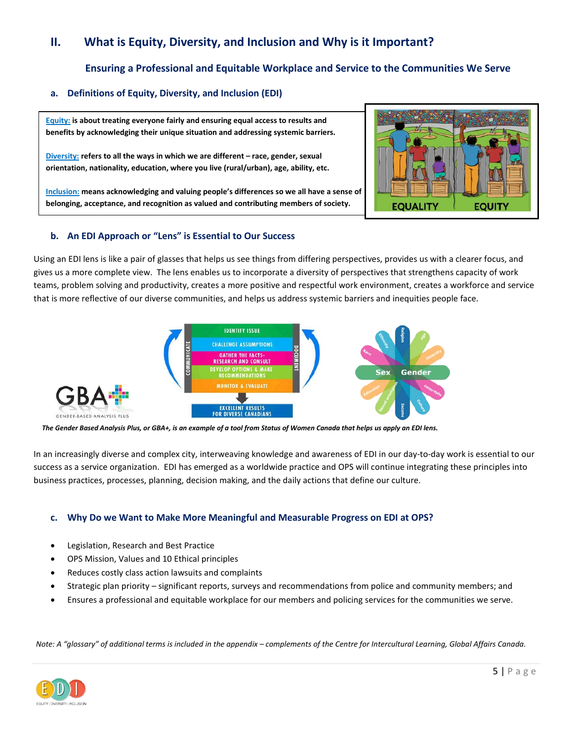## **II. What is Equity, Diversity, and Inclusion and Why is it Important?**

### **Ensuring a Professional and Equitable Workplace and Service to the Communities We Serve**

### **a. Definitions of Equity, Diversity, and Inclusion (EDI)**

**Equity: is about treating everyone fairly and ensuring equal access to results and benefits by acknowledging their unique situation and addressing systemic barriers.**

**Diversity: refers to all the ways in which we are different – race, gender, sexual orientation, nationality, education, where you live (rural/urban), age, ability, etc.** 

**Inclusion: means acknowledging and valuing people's differences so we all have a sense of belonging, acceptance, and recognition as valued and contributing members of society.** 



#### **b. An EDI Approach or "Lens" is Essential to Our Success**

Using an EDI lens is like a pair of glasses that helps us see things from differing perspectives, provides us with a clearer focus, and gives us a more complete view. The lens enables us to incorporate a diversity of perspectives that strengthens capacity of work teams, problem solving and productivity, creates a more positive and respectful work environment, creates a workforce and service that is more reflective of our diverse communities, and helps us address systemic barriers and inequities people face.



*The Gender Based Analysis Plus, or GBA+, is an example of a tool from Status of Women Canada that helps us apply an EDI lens.*

In an increasingly diverse and complex city, interweaving knowledge and awareness of EDI in our day-to-day work is essential to our success as a service organization. EDI has emerged as a worldwide practice and OPS will continue integrating these principles into business practices, processes, planning, decision making, and the daily actions that define our culture.

#### **c. Why Do we Want to Make More Meaningful and Measurable Progress on EDI at OPS?**

- Legislation, Research and Best Practice
- OPS Mission, Values and 10 Ethical principles
- Reduces costly class action lawsuits and complaints
- Strategic plan priority significant reports, surveys and recommendations from police and community members; and
- Ensures a professional and equitable workplace for our members and policing services for the communities we serve.

*Note: A "glossary" of additional terms is included in the appendix – complements of the Centre for Intercultural Learning, Global Affairs Canada.*